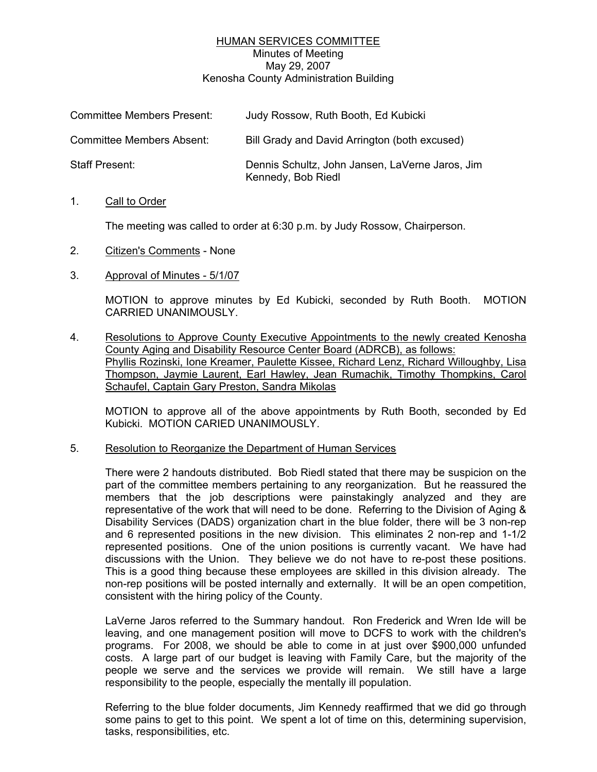# HUMAN SERVICES COMMITTEE Minutes of Meeting May 29, 2007 Kenosha County Administration Building

| <b>Committee Members Present:</b> | Judy Rossow, Ruth Booth, Ed Kubicki                                   |
|-----------------------------------|-----------------------------------------------------------------------|
| <b>Committee Members Absent:</b>  | Bill Grady and David Arrington (both excused)                         |
| Staff Present:                    | Dennis Schultz, John Jansen, LaVerne Jaros, Jim<br>Kennedy, Bob Riedl |

### 1. Call to Order

The meeting was called to order at 6:30 p.m. by Judy Rossow, Chairperson.

- 2. Citizen's Comments None
- 3. Approval of Minutes 5/1/07

MOTION to approve minutes by Ed Kubicki, seconded by Ruth Booth. MOTION CARRIED UNANIMOUSLY.

4. Resolutions to Approve County Executive Appointments to the newly created Kenosha County Aging and Disability Resource Center Board (ADRCB), as follows: Phyllis Rozinski, Ione Kreamer, Paulette Kissee, Richard Lenz, Richard Willoughby, Lisa Thompson, Jaymie Laurent, Earl Hawley, Jean Rumachik, Timothy Thompkins, Carol Schaufel, Captain Gary Preston, Sandra Mikolas

MOTION to approve all of the above appointments by Ruth Booth, seconded by Ed Kubicki. MOTION CARIED UNANIMOUSLY.

5. Resolution to Reorganize the Department of Human Services

There were 2 handouts distributed. Bob Riedl stated that there may be suspicion on the part of the committee members pertaining to any reorganization. But he reassured the members that the job descriptions were painstakingly analyzed and they are representative of the work that will need to be done. Referring to the Division of Aging & Disability Services (DADS) organization chart in the blue folder, there will be 3 non-rep and 6 represented positions in the new division. This eliminates 2 non-rep and 1-1/2 represented positions. One of the union positions is currently vacant. We have had discussions with the Union. They believe we do not have to re-post these positions. This is a good thing because these employees are skilled in this division already. The non-rep positions will be posted internally and externally. It will be an open competition, consistent with the hiring policy of the County.

LaVerne Jaros referred to the Summary handout. Ron Frederick and Wren Ide will be leaving, and one management position will move to DCFS to work with the children's programs. For 2008, we should be able to come in at just over \$900,000 unfunded costs. A large part of our budget is leaving with Family Care, but the majority of the people we serve and the services we provide will remain. We still have a large responsibility to the people, especially the mentally ill population.

Referring to the blue folder documents, Jim Kennedy reaffirmed that we did go through some pains to get to this point. We spent a lot of time on this, determining supervision, tasks, responsibilities, etc.